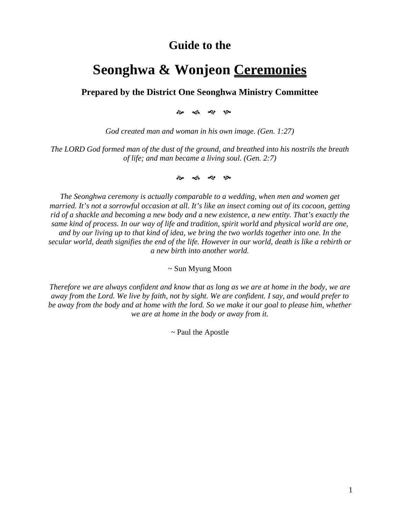## **Guide to the**

# **Seonghwa & Wonjeon Ceremonies**

## **Prepared by the District One Seonghwa Ministry Committee**

୍କ *ୟ*୍ତ∼

*God created man and woman in his own image. (Gen. 1:27)*

*The LORD God formed man of the dust of the ground, and breathed into his nostrils the breath of life; and man became a living soul. (Gen. 2:7)*

�� �� �� ��

*The Seonghwa ceremony is actually comparable to a wedding, when men and women get* married. It's not a sorrowful occasion at all. It's like an insect coming out of its cocoon, getting rid of a shackle and becoming a new body and a new existence, a new entity. That's exactly the *same kind of process. In our way of life and tradition, spirit world and physical world are one,* and by our living up to that kind of idea, we bring the two worlds together into one. In the secular world, death signifies the end of the life. However in our world, death is like a rebirth or *a new birth into another world.*

~ Sun Myung Moon

Therefore we are always confident and know that as long as we are at home in the body, we are away from the Lord. We live by faith, not by sight. We are confident. I say, and would prefer to be away from the body and at home with the lord. So we make it our goal to please him, whether *we are at home in the body or away from it.*

*~* Paul the Apostle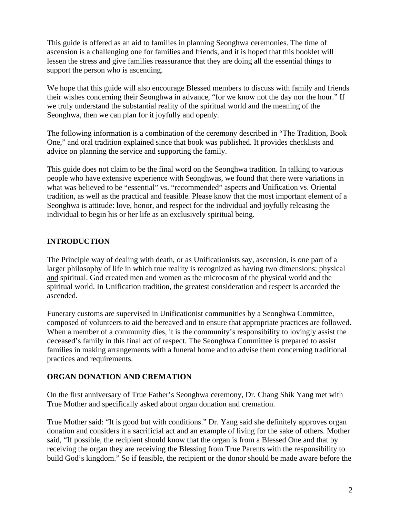This guide is offered as an aid to families in planning Seonghwa ceremonies. The time of ascension is a challenging one for families and friends, and it is hoped that this booklet will lessen the stress and give families reassurance that they are doing all the essential things to support the person who is ascending.

We hope that this guide will also encourage Blessed members to discuss with family and friends their wishes concerning their Seonghwa in advance, "for we know not the day nor the hour." If we truly understand the substantial reality of the spiritual world and the meaning of the Seonghwa, then we can plan for it joyfully and openly.

The following information is a combination of the ceremony described in "The Tradition, Book One," and oral tradition explained since that book was published. It provides checklists and advice on planning the service and supporting the family.

This guide does not claim to be the final word on the Seonghwa tradition. In talking to various people who have extensive experience with Seonghwas, we found that there were variations in what was believed to be "essential" vs. "recommended" aspects and Unification vs. Oriental tradition, as well as the practical and feasible. Please know that the most important element of a Seonghwa is attitude: love, honor, and respect for the individual and joyfully releasing the individual to begin his or her life as an exclusively spiritual being.

## **INTRODUCTION**

The Principle way of dealing with death, or as Unificationists say, ascension, is one part of a larger philosophy of life in which true reality is recognized as having two dimensions: physical and spiritual. God created men and women as the microcosm of the physical world and the spiritual world. In Unification tradition, the greatest consideration and respect is accorded the ascended.

Funerary customs are supervised in Unificationist communities by a Seonghwa Committee, composed of volunteers to aid the bereaved and to ensure that appropriate practices are followed. When a member of a community dies, it is the community's responsibility to lovingly assist the deceased's family in this final act of respect. The Seonghwa Committee is prepared to assist families in making arrangements with a funeral home and to advise them concerning traditional practices and requirements.

## **ORGAN DONATION AND CREMATION**

On the first anniversary of True Father's Seonghwa ceremony, Dr. Chang Shik Yang met with True Mother and specifically asked about organ donation and cremation.

True Mother said: "It is good but with conditions." Dr. Yang said she definitely approves organ donation and considers it a sacrificial act and an example of living for the sake of others. Mother said, "If possible, the recipient should know that the organ is from a Blessed One and that by receiving the organ they are receiving the Blessing from True Parents with the responsibility to build God's kingdom." So if feasible, the recipient or the donor should be made aware before the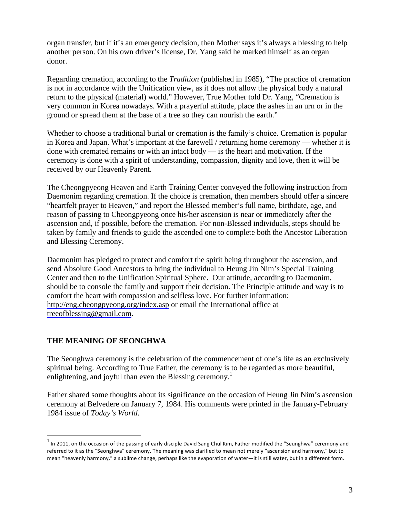organ transfer, but if it's an emergency decision, then Mother says it's always a blessing to help another person. On his own driver's license, Dr. Yang said he marked himself as an organ donor.

Regarding cremation, according to the *Tradition* (published in 1985), "The practice of cremation is not in accordance with the Unification view, as it does not allow the physical body a natural return to the physical (material) world." However, True Mother told Dr. Yang, "Cremation is very common in Korea nowadays. With a prayerful attitude, place the ashes in an urn or in the ground or spread them at the base of a tree so they can nourish the earth."

Whether to choose a traditional burial or cremation is the family's choice. Cremation is popular in Korea and Japan. What's important at the farewell / returning home ceremony — whether it is done with cremated remains or with an intact body — is the heart and motivation. If the ceremony is done with a spirit of understanding, compassion, dignity and love, then it will be received by our Heavenly Parent.

The Cheongpyeong Heaven and Earth Training Center conveyed the following instruction from Daemonim regarding cremation. If the choice is cremation, then members should offer a sincere "heartfelt prayer to Heaven," and report the Blessed member's full name, birthdate, age, and reason of passing to Cheongpyeong once his/her ascension is near or immediately after the ascension and, if possible, before the cremation. For non-Blessed individuals, steps should be taken by family and friends to guide the ascended one to complete both the Ancestor Liberation and Blessing Ceremony.

Daemonim has pledged to protect and comfort the spirit being throughout the ascension, and send Absolute Good Ancestors to bring the individual to Heung Jin Nim's Special Training Center and then to the Unification Spiritual Sphere. Our attitude, according to Daemonim, should be to console the family and support their decision. The Principle attitude and way is to comfort the heart with compassion and selfless love. For further information: http://eng.cheongpyeong.org/index.asp or email the International office at treeofblessing@gmail.com.

## **THE MEANING OF SEONGHWA**

 $\overline{a}$ 

The Seonghwa ceremony is the celebration of the commencement of one's life as an exclusively spiritual being. According to True Father, the ceremony is to be regarded as more beautiful, enlightening, and joyful than even the Blessing ceremony.<sup>1</sup>

Father shared some thoughts about its significance on the occasion of Heung Jin Nim's ascension ceremony at Belvedere on January 7, 1984. His comments were printed in the January-February 1984 issue of *Today's World*.

 $1$  In 2011, on the occasion of the passing of early disciple David Sang Chul Kim, Father modified the "Seunghwa" ceremony and referred to it as the "Seonghwa" ceremony. The meaning was clarified to mean not merely "ascension and harmony," but to mean "heavenly harmony," a sublime change, perhaps like the evaporation of water—it is still water, but in a different form.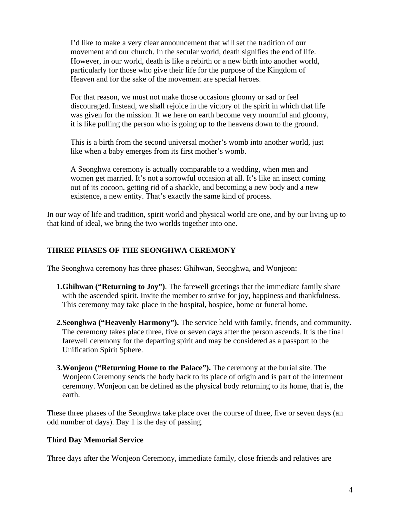I'd like to make a very clear announcement that will set the tradition of our movement and our church. In the secular world, death signifies the end of life. However, in our world, death is like a rebirth or a new birth into another world, particularly for those who give their life for the purpose of the Kingdom of Heaven and for the sake of the movement are special heroes.

For that reason, we must not make those occasions gloomy or sad or feel discouraged. Instead, we shall rejoice in the victory of the spirit in which that life was given for the mission. If we here on earth become very mournful and gloomy, it is like pulling the person who is going up to the heavens down to the ground.

This is a birth from the second universal mother's womb into another world, just like when a baby emerges from its first mother's womb.

A Seonghwa ceremony is actually comparable to a wedding, when men and women get married. It's not a sorrowful occasion at all. It's like an insect coming out of its cocoon, getting rid of a shackle, and becoming a new body and a new existence, a new entity. That's exactly the same kind of process.

In our way of life and tradition, spirit world and physical world are one, and by our living up to that kind of ideal, we bring the two worlds together into one.

## **THREE PHASES OF THE SEONGHWA CEREMONY**

The Seonghwa ceremony has three phases: Ghihwan, Seonghwa, and Wonjeon:

- **1.Ghihwan ("Returning to Joy")**. The farewell greetings that the immediate family share with the ascended spirit. Invite the member to strive for joy, happiness and thankfulness. This ceremony may take place in the hospital, hospice, home or funeral home.
- **2.Seonghwa ("Heavenly Harmony").** The service held with family, friends, and community. The ceremony takes place three, five or seven days after the person ascends. It is the final farewell ceremony for the departing spirit and may be considered as a passport to the Unification Spirit Sphere.
- **3.Wonjeon ("Returning Home to the Palace").** The ceremony at the burial site. The Wonjeon Ceremony sends the body back to its place of origin and is part of the interment ceremony. Wonjeon can be defined as the physical body returning to its home, that is, the earth.

These three phases of the Seonghwa take place over the course of three, five or seven days (an odd number of days). Day 1 is the day of passing.

#### **Third Day Memorial Service**

Three days after the Wonjeon Ceremony, immediate family, close friends and relatives are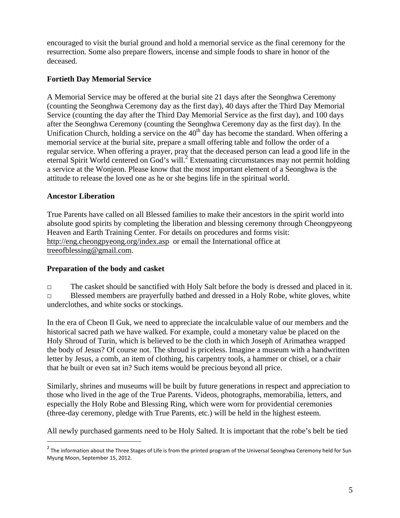encouraged to visit the burial ground and hold a memorial service as the final ceremony for the resurrection. Some also prepare flowers, incense and simple foods to share in honor of the deceased.

## **Fortieth Day Memorial Service**

A Memorial Service may be offered at the burial site 21 days after the Seonghwa Ceremony (counting the Seonghwa Ceremony day as the first day), 40 days after the Third Day Memorial Service (counting the day after the Third Day Memorial Service as the first day), and 100 days after the Seonghwa Ceremony (counting the Seonghwa Ceremony day as the first day). In the Unification Church, holding a service on the  $40<sup>th</sup>$  day has become the standard. When offering a memorial service at the burial site, prepare a small offering table and follow the order of a regular service. When offering a prayer, pray that the deceased person can lead a good life in the eternal Spirit World centered on God's will.<sup>2</sup> Extenuating circumstances may not permit holding a service at the Wonjeon. Please know that the most important element of a Seonghwa is the attitude to release the loved one as he or she begins life in the spiritual world.

## **Ancestor Liberation**

<u>.</u>

True Parents have called on all Blessed families to make their ancestors in the spirit world into absolute good spirits by completing the liberation and blessing ceremony through Cheongpyeong Heaven and Earth Training Center. For details on procedures and forms visit: http://eng.cheongpyeong.org/index.asp or email the International office at treeofblessing@gmail.com.

## **Preparation of the body and casket**

□ The casket should be sanctified with Holy Salt before the body is dressed and placed in it. □ Blessed members are prayerfully bathed and dressed in a Holy Robe, white gloves, white underclothes, and white socks or stockings.

In the era of Cheon Il Guk, we need to appreciate the incalculable value of our members and the historical sacred path we have walked. For example, could a monetary value be placed on the Holy Shroud of Turin, which is believed to be the cloth in which Joseph of Arimathea wrapped the body of Jesus? Of course not. The shroud is priceless. Imagine a museum with a handwritten letter by Jesus, a comb, an item of clothing, his carpentry tools, a hammer or chisel, or a chair that he built or even sat in? Such items would be precious beyond all price.

Similarly, shrines and museums will be built by future generations in respect and appreciation to those who lived in the age of the True Parents. Videos, photographs, memorabilia, letters, and especially the Holy Robe and Blessing Ring, which were worn for providential ceremonies (three-day ceremony, pledge with True Parents, etc.) will be held in the highest esteem.

All newly purchased garments need to be Holy Salted. It is important that the robe's belt be tied

<sup>&</sup>lt;sup>2</sup> The information about the Three Stages of Life is from the printed program of the Universal Seonghwa Ceremony held for Sun Myung Moon, September 15, 2012.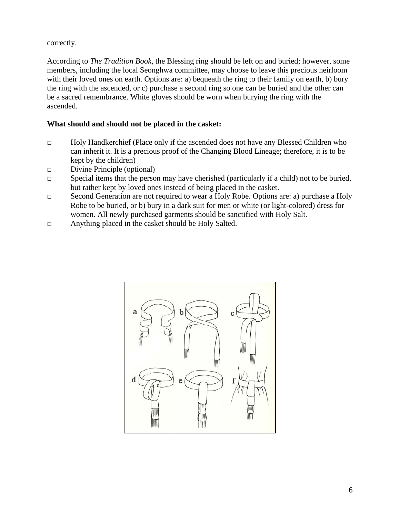## correctly.

According to *The Tradition Book*, the Blessing ring should be left on and buried; however, some members, including the local Seonghwa committee, may choose to leave this precious heirloom with their loved ones on earth. Options are: a) bequeath the ring to their family on earth, b) bury the ring with the ascended, or c) purchase a second ring so one can be buried and the other can be a sacred remembrance. White gloves should be worn when burying the ring with the ascended.

#### **What should and should not be placed in the casket:**

- □ Holy Handkerchief (Place only if the ascended does not have any Blessed Children who can inherit it. It is a precious proof of the Changing Blood Lineage; therefore, it is to be kept by the children)
- □ Divine Principle (optional)
- $\Box$  Special items that the person may have cherished (particularly if a child) not to be buried, but rather kept by loved ones instead of being placed in the casket.
- □ Second Generation are not required to wear a Holy Robe. Options are: a) purchase a Holy Robe to be buried, or b) bury in a dark suit for men or white (or light-colored) dress for women. All newly purchased garments should be sanctified with Holy Salt.
- □ Anything placed in the casket should be Holy Salted.

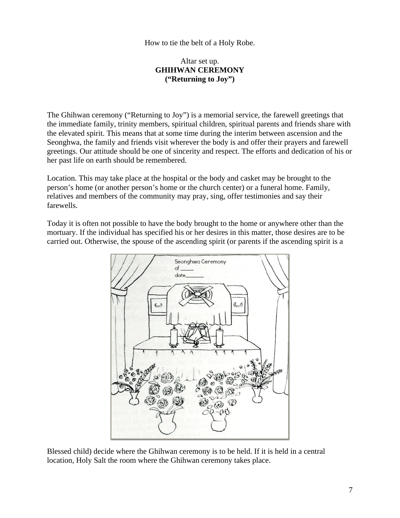#### How to tie the belt of a Holy Robe.

#### Altar set up. **GHIHWAN CEREMONY ("Returning to Joy")**

The Ghihwan ceremony ("Returning to Joy") is a memorial service, the farewell greetings that the immediate family, trinity members, spiritual children, spiritual parents and friends share with the elevated spirit. This means that at some time during the interim between ascension and the Seonghwa, the family and friends visit wherever the body is and offer their prayers and farewell greetings. Our attitude should be one of sincerity and respect. The efforts and dedication of his or her past life on earth should be remembered.

Location. This may take place at the hospital or the body and casket may be brought to the person's home (or another person's home or the church center) or a funeral home. Family, relatives and members of the community may pray, sing, offer testimonies and say their farewells.

Today it is often not possible to have the body brought to the home or anywhere other than the mortuary. If the individual has specified his or her desires in this matter, those desires are to be carried out. Otherwise, the spouse of the ascending spirit (or parents if the ascending spirit is a



Blessed child) decide where the Ghihwan ceremony is to be held. If it is held in a central location, Holy Salt the room where the Ghihwan ceremony takes place.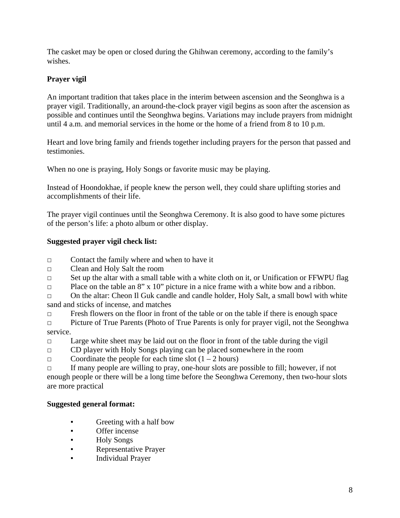The casket may be open or closed during the Ghihwan ceremony, according to the family's wishes.

## **Prayer vigil**

An important tradition that takes place in the interim between ascension and the Seonghwa is a prayer vigil. Traditionally, an around-the-clock prayer vigil begins as soon after the ascension as possible and continues until the Seonghwa begins. Variations may include prayers from midnight until 4 a.m. and memorial services in the home or the home of a friend from 8 to 10 p.m.

Heart and love bring family and friends together including prayers for the person that passed and testimonies.

When no one is praying, Holy Songs or favorite music may be playing.

Instead of Hoondokhae, if people knew the person well, they could share uplifting stories and accomplishments of their life.

The prayer vigil continues until the Seonghwa Ceremony. It is also good to have some pictures of the person's life: a photo album or other display.

## **Suggested prayer vigil check list:**

□ Contact the family where and when to have it

□ Clean and Holy Salt the room

 $\Box$  Set up the altar with a small table with a white cloth on it, or Unification or FFWPU flag

 $\Box$  Place on the table an 8" x 10" picture in a nice frame with a white bow and a ribbon.

□ On the altar: Cheon Il Guk candle and candle holder, Holy Salt, a small bowl with white sand and sticks of incense, and matches

 $\Box$  Fresh flowers on the floor in front of the table or on the table if there is enough space

- □ Picture of True Parents (Photo of True Parents is only for prayer vigil, not the Seonghwa service.
- $\Box$  Large white sheet may be laid out on the floor in front of the table during the vigil
- □ CD player with Holy Songs playing can be placed somewhere in the room
- $\Box$  Coordinate the people for each time slot  $(1 2$  hours)

□ If many people are willing to pray, one-hour slots are possible to fill; however, if not enough people or there will be a long time before the Seonghwa Ceremony, then two-hour slots are more practical

## **Suggested general format:**

- Greeting with a half bow
- Offer incense
- Holy Songs
- **Representative Prayer**
- **Individual Prayer**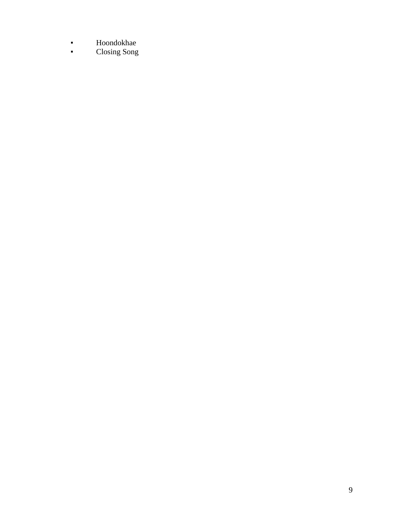- Hoondokhae
- Closing Song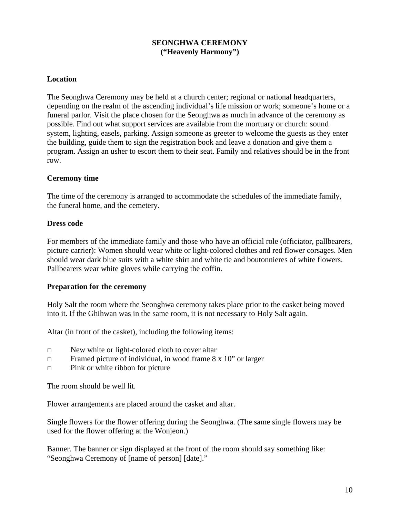## **SEONGHWA CEREMONY ("Heavenly Harmony")**

#### **Location**

The Seonghwa Ceremony may be held at a church center; regional or national headquarters, depending on the realm of the ascending individual's life mission or work; someone's home or a funeral parlor. Visit the place chosen for the Seonghwa as much in advance of the ceremony as possible. Find out what support services are available from the mortuary or church: sound system, lighting, easels, parking. Assign someone as greeter to welcome the guests as they enter the building, guide them to sign the registration book and leave a donation and give them a program. Assign an usher to escort them to their seat. Family and relatives should be in the front row.

#### **Ceremony time**

The time of the ceremony is arranged to accommodate the schedules of the immediate family, the funeral home, and the cemetery.

#### **Dress code**

For members of the immediate family and those who have an official role (officiator, pallbearers, picture carrier): Women should wear white or light-colored clothes and red flower corsages. Men should wear dark blue suits with a white shirt and white tie and boutonnieres of white flowers. Pallbearers wear white gloves while carrying the coffin.

#### **Preparation for the ceremony**

Holy Salt the room where the Seonghwa ceremony takes place prior to the casket being moved into it. If the Ghihwan was in the same room, it is not necessary to Holy Salt again.

Altar (in front of the casket), including the following items:

- □ New white or light-colored cloth to cover altar
- $\Box$  Framed picture of individual, in wood frame 8 x 10" or larger
- $\Box$  Pink or white ribbon for picture

The room should be well lit.

Flower arrangements are placed around the casket and altar.

Single flowers for the flower offering during the Seonghwa. (The same single flowers may be used for the flower offering at the Wonjeon.)

Banner. The banner or sign displayed at the front of the room should say something like: "Seonghwa Ceremony of [name of person] [date]."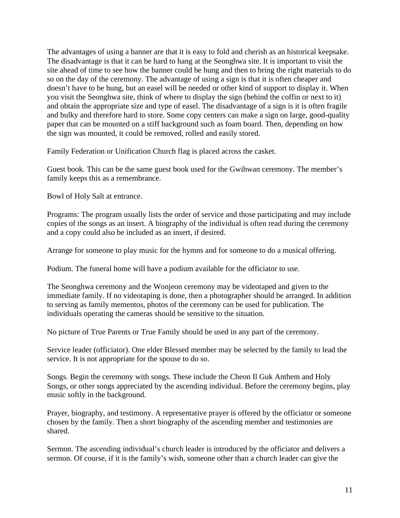The advantages of using a banner are that it is easy to fold and cherish as an historical keepsake. The disadvantage is that it can be hard to hang at the Seonghwa site. It is important to visit the site ahead of time to see how the banner could be hung and then to bring the right materials to do so on the day of the ceremony. The advantage of using a sign is that it is often cheaper and doesn't have to be hung, but an easel will be needed or other kind of support to display it. When you visit the Seonghwa site, think of where to display the sign (behind the coffin or next to it) and obtain the appropriate size and type of easel. The disadvantage of a sign is it is often fragile and bulky and therefore hard to store. Some copy centers can make a sign on large, good-quality paper that can be mounted on a stiff background such as foam board. Then, depending on how the sign was mounted, it could be removed, rolled and easily stored.

Family Federation or Unification Church flag is placed across the casket.

Guest book. This can be the same guest book used for the Gwihwan ceremony. The member's family keeps this as a remembrance.

Bowl of Holy Salt at entrance.

Programs: The program usually lists the order of service and those participating and may include copies of the songs as an insert. A biography of the individual is often read during the ceremony and a copy could also be included as an insert, if desired.

Arrange for someone to play music for the hymns and for someone to do a musical offering.

Podium. The funeral home will have a podium available for the officiator to use.

The Seonghwa ceremony and the Wonjeon ceremony may be videotaped and given to the immediate family. If no videotaping is done, then a photographer should be arranged. In addition to serving as family mementos, photos of the ceremony can be used for publication. The individuals operating the cameras should be sensitive to the situation.

No picture of True Parents or True Family should be used in any part of the ceremony.

Service leader (officiator). One elder Blessed member may be selected by the family to lead the service. It is not appropriate for the spouse to do so.

Songs. Begin the ceremony with songs. These include the Cheon Il Guk Anthem and Holy Songs, or other songs appreciated by the ascending individual. Before the ceremony begins, play music softly in the background.

Prayer, biography, and testimony. A representative prayer is offered by the officiator or someone chosen by the family. Then a short biography of the ascending member and testimonies are shared.

Sermon. The ascending individual's church leader is introduced by the officiator and delivers a sermon. Of course, if it is the family's wish, someone other than a church leader can give the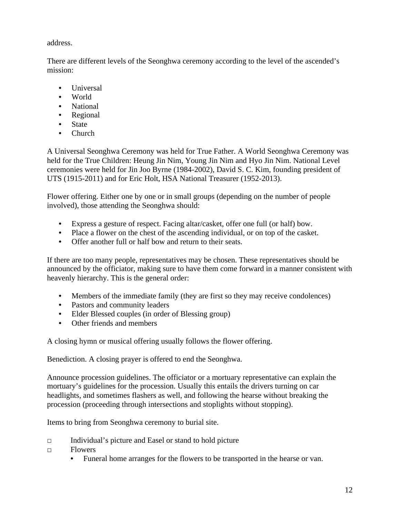address.

There are different levels of the Seonghwa ceremony according to the level of the ascended's mission:

- Universal
- World
- National
- Regional
- **State**
- Church

A Universal Seonghwa Ceremony was held for True Father. A World Seonghwa Ceremony was held for the True Children: Heung Jin Nim, Young Jin Nim and Hyo Jin Nim. National Level ceremonies were held for Jin Joo Byrne (1984-2002), David S. C. Kim, founding president of UTS (1915-2011) and for Eric Holt, HSA National Treasurer (1952-2013).

Flower offering. Either one by one or in small groups (depending on the number of people involved), those attending the Seonghwa should:

- Express a gesture of respect. Facing altar/casket, offer one full (or half) bow.
- Place a flower on the chest of the ascending individual, or on top of the casket.
- Offer another full or half bow and return to their seats.

If there are too many people, representatives may be chosen. These representatives should be announced by the officiator, making sure to have them come forward in a manner consistent with heavenly hierarchy. This is the general order:

- Members of the immediate family (they are first so they may receive condolences)
- Pastors and community leaders
- Elder Blessed couples (in order of Blessing group)
- Other friends and members

A closing hymn or musical offering usually follows the flower offering.

Benediction. A closing prayer is offered to end the Seonghwa.

Announce procession guidelines. The officiator or a mortuary representative can explain the mortuary's guidelines for the procession. Usually this entails the drivers turning on car headlights, and sometimes flashers as well, and following the hearse without breaking the procession (proceeding through intersections and stoplights without stopping).

Items to bring from Seonghwa ceremony to burial site.

- □ Individual's picture and Easel or stand to hold picture
- □ Flowers
	- Funeral home arranges for the flowers to be transported in the hearse or van.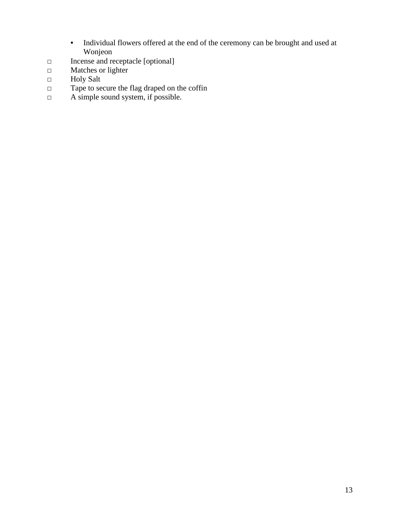- Individual flowers offered at the end of the ceremony can be brought and used at Wonjeon
- □ Incense and receptacle [optional]
- □ Matches or lighter
- □ Holy Salt
- □ Tape to secure the flag draped on the coffin
- $\Box$  A simple sound system, if possible.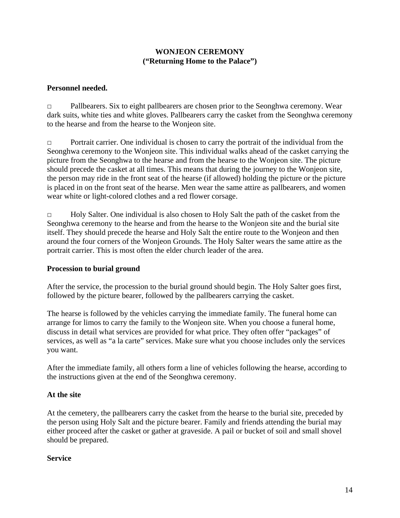## **WONJEON CEREMONY ("Returning Home to the Palace")**

#### **Personnel needed.**

□ Pallbearers. Six to eight pallbearers are chosen prior to the Seonghwa ceremony. Wear dark suits, white ties and white gloves. Pallbearers carry the casket from the Seonghwa ceremony to the hearse and from the hearse to the Wonjeon site.

□ Portrait carrier. One individual is chosen to carry the portrait of the individual from the Seonghwa ceremony to the Wonjeon site. This individual walks ahead of the casket carrying the picture from the Seonghwa to the hearse and from the hearse to the Wonjeon site. The picture should precede the casket at all times. This means that during the journey to the Wonjeon site, the person may ride in the front seat of the hearse (if allowed) holding the picture or the picture is placed in on the front seat of the hearse. Men wear the same attire as pallbearers, and women wear white or light-colored clothes and a red flower corsage.

□ Holy Salter. One individual is also chosen to Holy Salt the path of the casket from the Seonghwa ceremony to the hearse and from the hearse to the Wonjeon site and the burial site itself. They should precede the hearse and Holy Salt the entire route to the Wonjeon and then around the four corners of the Wonjeon Grounds. The Holy Salter wears the same attire as the portrait carrier. This is most often the elder church leader of the area.

#### **Procession to burial ground**

After the service, the procession to the burial ground should begin. The Holy Salter goes first, followed by the picture bearer, followed by the pallbearers carrying the casket.

The hearse is followed by the vehicles carrying the immediate family. The funeral home can arrange for limos to carry the family to the Wonjeon site. When you choose a funeral home, discuss in detail what services are provided for what price. They often offer "packages" of services, as well as "a la carte" services. Make sure what you choose includes only the services you want.

After the immediate family, all others form a line of vehicles following the hearse, according to the instructions given at the end of the Seonghwa ceremony.

#### **At the site**

At the cemetery, the pallbearers carry the casket from the hearse to the burial site, preceded by the person using Holy Salt and the picture bearer. Family and friends attending the burial may either proceed after the casket or gather at graveside. A pail or bucket of soil and small shovel should be prepared.

#### **Service**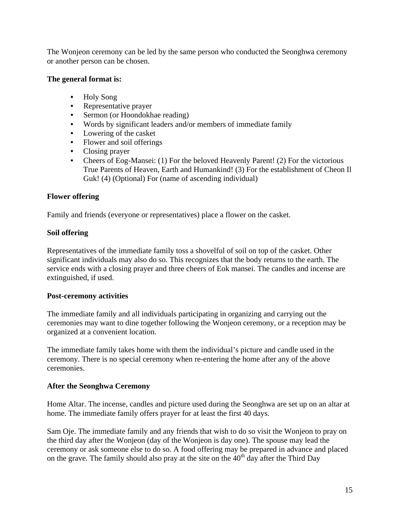The Wonjeon ceremony can be led by the same person who conducted the Seonghwa ceremony or another person can be chosen.

#### **The general format is:**

- Holy Song
- Representative prayer
- Sermon (or Hoondokhae reading)
- Words by significant leaders and/or members of immediate family
- Lowering of the casket
- Flower and soil offerings
- Closing prayer
- Cheers of Eog-Mansei: (1) For the beloved Heavenly Parent! (2) For the victorious True Parents of Heaven, Earth and Humankind! (3) For the establishment of Cheon Il Guk! (4) (Optional) For (name of ascending individual)

## **Flower offering**

Family and friends (everyone or representatives) place a flower on the casket.

## **Soil offering**

Representatives of the immediate family toss a shovelful of soil on top of the casket. Other significant individuals may also do so. This recognizes that the body returns to the earth. The service ends with a closing prayer and three cheers of Eok mansei. The candles and incense are extinguished, if used.

## **Post-ceremony activities**

The immediate family and all individuals participating in organizing and carrying out the ceremonies may want to dine together following the Wonjeon ceremony, or a reception may be organized at a convenient location.

The immediate family takes home with them the individual's picture and candle used in the ceremony. There is no special ceremony when re-entering the home after any of the above ceremonies.

## **After the Seonghwa Ceremony**

Home Altar. The incense, candles and picture used during the Seonghwa are set up on an altar at home. The immediate family offers prayer for at least the first 40 days.

Sam Oje. The immediate family and any friends that wish to do so visit the Wonjeon to pray on the third day after the Wonjeon (day of the Wonjeon is day one). The spouse may lead the ceremony or ask someone else to do so. A food offering may be prepared in advance and placed on the grave. The family should also pray at the site on the  $40<sup>th</sup>$  day after the Third Day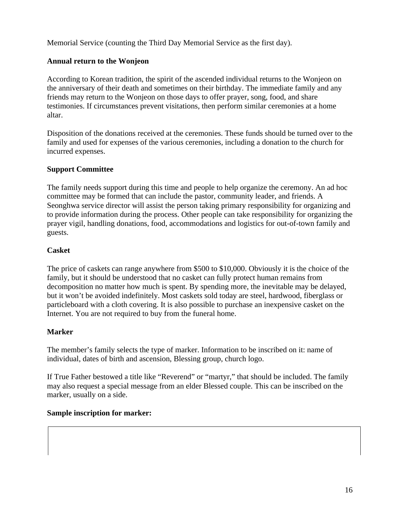Memorial Service (counting the Third Day Memorial Service as the first day).

## **Annual return to the Wonjeon**

According to Korean tradition, the spirit of the ascended individual returns to the Wonjeon on the anniversary of their death and sometimes on their birthday. The immediate family and any friends may return to the Wonjeon on those days to offer prayer, song, food, and share testimonies. If circumstances prevent visitations, then perform similar ceremonies at a home altar.

Disposition of the donations received at the ceremonies. These funds should be turned over to the family and used for expenses of the various ceremonies, including a donation to the church for incurred expenses.

## **Support Committee**

The family needs support during this time and people to help organize the ceremony. An ad hoc committee may be formed that can include the pastor, community leader, and friends. A Seonghwa service director will assist the person taking primary responsibility for organizing and to provide information during the process. Other people can take responsibility for organizing the prayer vigil, handling donations, food, accommodations and logistics for out-of-town family and guests.

## **Casket**

The price of caskets can range anywhere from \$500 to \$10,000. Obviously it is the choice of the family, but it should be understood that no casket can fully protect human remains from decomposition no matter how much is spent. By spending more, the inevitable may be delayed, but it won't be avoided indefinitely. Most caskets sold today are steel, hardwood, fiberglass or particleboard with a cloth covering. It is also possible to purchase an inexpensive casket on the Internet. You are not required to buy from the funeral home.

## **Marker**

The member's family selects the type of marker. Information to be inscribed on it: name of individual, dates of birth and ascension, Blessing group, church logo.

If True Father bestowed a title like "Reverend" or "martyr," that should be included. The family may also request a special message from an elder Blessed couple. This can be inscribed on the marker, usually on a side.

## **Sample inscription for marker:**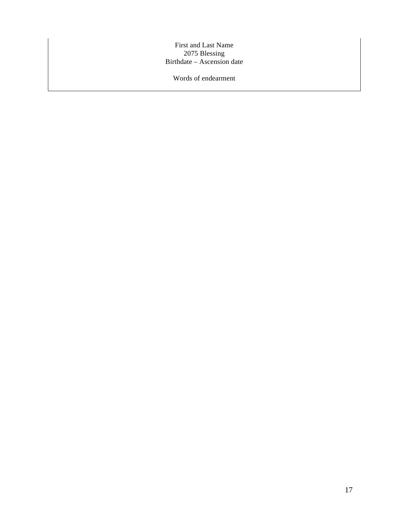First and Last Name 2075 Blessing Birthdate – Ascension date

Words of endearment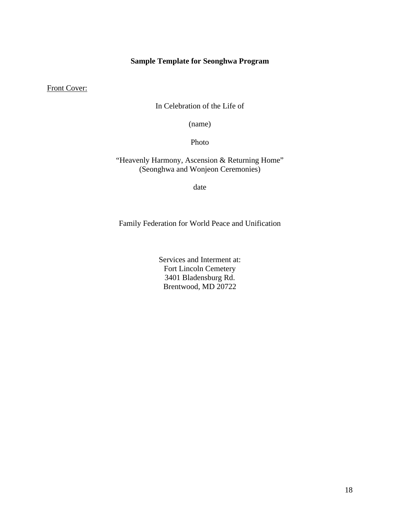## **Sample Template for Seonghwa Program**

Front Cover:

In Celebration of the Life of

(name)

Photo

"Heavenly Harmony, Ascension & Returning Home" (Seonghwa and Wonjeon Ceremonies)

date

Family Federation for World Peace and Unification

Services and Interment at: Fort Lincoln Cemetery 3401 Bladensburg Rd. Brentwood, MD 20722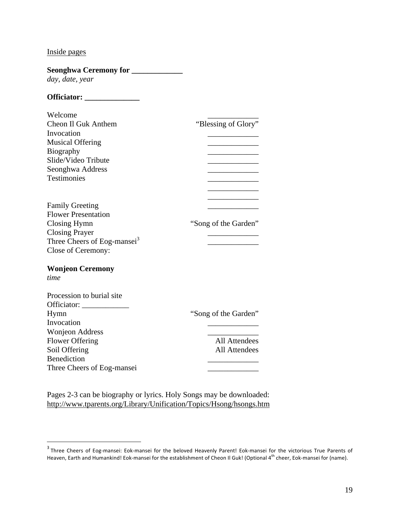## Inside pages

 $\overline{a}$ 

| Seonghwa Ceremony for _____________     |                      |
|-----------------------------------------|----------------------|
| day, date, year                         |                      |
|                                         |                      |
| Welcome                                 |                      |
| Cheon Il Guk Anthem                     | "Blessing of Glory"  |
| Invocation                              |                      |
| <b>Musical Offering</b>                 |                      |
| <b>Biography</b>                        |                      |
| Slide/Video Tribute                     |                      |
| Seonghwa Address                        |                      |
| <b>Testimonies</b>                      |                      |
| <b>Family Greeting</b>                  |                      |
| <b>Flower Presentation</b>              |                      |
| Closing Hymn                            | "Song of the Garden" |
| <b>Closing Prayer</b>                   |                      |
| Three Cheers of Eog-mansei <sup>3</sup> |                      |
| Close of Ceremony:                      |                      |
|                                         |                      |
| <b>Wonjeon Ceremony</b>                 |                      |
| time                                    |                      |
| Procession to burial site               |                      |
|                                         |                      |
| Hymn                                    | "Song of the Garden" |
| Invocation                              |                      |
| <b>Wonjeon Address</b>                  |                      |
| <b>Flower Offering</b>                  | <b>All Attendees</b> |
| Soil Offering                           | <b>All Attendees</b> |
| <b>Benediction</b>                      |                      |
| Three Cheers of Eog-mansei              |                      |

Pages 2-3 can be biography or lyrics. Holy Songs may be downloaded: http://www.tparents.org/Library/Unification/Topics/Hsong/hsongs.htm

 $^3$  Three Cheers of Eog-mansei: Eok-mansei for the beloved Heavenly Parent! Eok-mansei for the victorious True Parents of Heaven, Earth and Humankind! Eok-mansei for the establishment of Cheon Il Guk! (Optional 4th cheer, Eok-mansei for (name).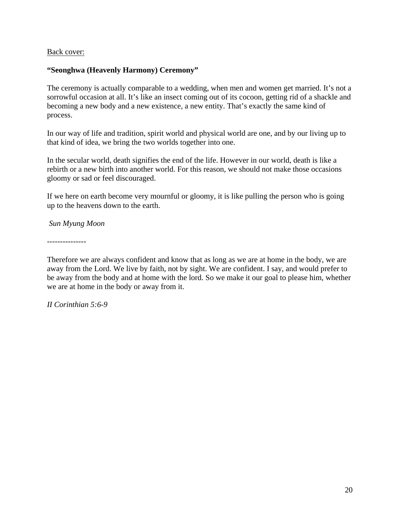#### Back cover:

#### **"Seonghwa (Heavenly Harmony) Ceremony"**

The ceremony is actually comparable to a wedding, when men and women get married. It's not a sorrowful occasion at all. It's like an insect coming out of its cocoon, getting rid of a shackle and becoming a new body and a new existence, a new entity. That's exactly the same kind of process.

In our way of life and tradition, spirit world and physical world are one, and by our living up to that kind of idea, we bring the two worlds together into one.

In the secular world, death signifies the end of the life. However in our world, death is like a rebirth or a new birth into another world. For this reason, we should not make those occasions gloomy or sad or feel discouraged.

If we here on earth become very mournful or gloomy, it is like pulling the person who is going up to the heavens down to the earth.

*Sun Myung Moon*

---------------

Therefore we are always confident and know that as long as we are at home in the body, we are away from the Lord. We live by faith, not by sight. We are confident. I say, and would prefer to be away from the body and at home with the lord. So we make it our goal to please him, whether we are at home in the body or away from it.

*II Corinthian 5:6-9*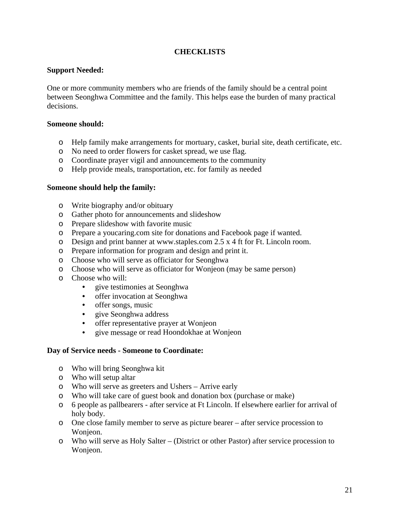## **CHECKLISTS**

#### **Support Needed:**

One or more community members who are friends of the family should be a central point between Seonghwa Committee and the family. This helps ease the burden of many practical decisions.

#### **Someone should:**

- o Help family make arrangements for mortuary, casket, burial site, death certificate, etc.
- o No need to order flowers for casket spread, we use flag.
- o Coordinate prayer vigil and announcements to the community
- o Help provide meals, transportation, etc. for family as needed

#### **Someone should help the family:**

- o Write biography and/or obituary
- o Gather photo for announcements and slideshow
- o Prepare slideshow with favorite music
- o Prepare a youcaring.com site for donations and Facebook page if wanted.
- o Design and print banner at www.staples.com 2.5 x 4 ft for Ft. Lincoln room.
- o Prepare information for program and design and print it.
- o Choose who will serve as officiator for Seonghwa
- o Choose who will serve as officiator for Wonjeon (may be same person)
- o Choose who will:
	- give testimonies at Seonghwa
	- offer invocation at Seonghwa
	- offer songs, music
	- give Seonghwa address
	- offer representative prayer at Wonjeon
	- give message or read Hoondokhae at Wonjeon

#### **Day of Service needs - Someone to Coordinate:**

- o Who will bring Seonghwa kit
- o Who will setup altar
- o Who will serve as greeters and Ushers Arrive early
- o Who will take care of guest book and donation box (purchase or make)
- o 6 people as pallbearers after service at Ft Lincoln. If elsewhere earlier for arrival of holy body.
- o One close family member to serve as picture bearer after service procession to Wonieon.
- o Who will serve as Holy Salter (District or other Pastor) after service procession to Wonjeon.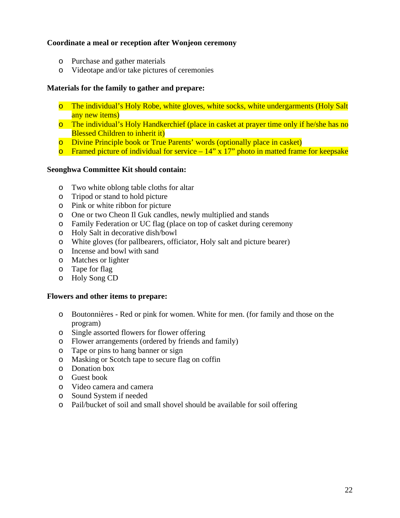#### **Coordinate a meal or reception after Wonjeon ceremony**

- o Purchase and gather materials
- o Videotape and/or take pictures of ceremonies

#### **Materials for the family to gather and prepare:**

- o The individual's Holy Robe, white gloves, white socks, white undergarments (Holy Salt any new items)
- o The individual's Holy Handkerchief (place in casket at prayer time only if he/she has no Blessed Children to inherit it)
- o Divine Principle book or True Parents' words (optionally place in casket)
- **o** Framed picture of individual for service  $-14$ " x 17" photo in matted frame for keepsake

#### **Seonghwa Committee Kit should contain:**

- o Two white oblong table cloths for altar
- o Tripod or stand to hold picture
- o Pink or white ribbon for picture
- o One or two Cheon Il Guk candles, newly multiplied and stands
- o Family Federation or UC flag (place on top of casket during ceremony
- o Holy Salt in decorative dish/bowl
- o White gloves (for pallbearers, officiator, Holy salt and picture bearer)
- o Incense and bowl with sand
- o Matches or lighter
- o Tape for flag
- o Holy Song CD

#### **Flowers and other items to prepare:**

- o Boutonnières Red or pink for women. White for men. (for family and those on the program)
- o Single assorted flowers for flower offering
- o Flower arrangements (ordered by friends and family)
- o Tape or pins to hang banner or sign
- o Masking or Scotch tape to secure flag on coffin
- o Donation box
- o Guest book
- o Video camera and camera
- o Sound System if needed
- o Pail/bucket of soil and small shovel should be available for soil offering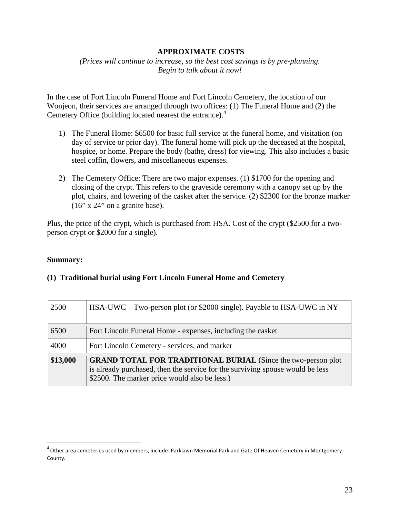#### **APPROXIMATE COSTS**

*(Prices will continue to increase, so the best cost savings is by pre-planning. Begin to talk about it now!*

In the case of Fort Lincoln Funeral Home and Fort Lincoln Cemetery, the location of our Wonjeon, their services are arranged through two offices: (1) The Funeral Home and (2) the Cemetery Office (building located nearest the entrance).<sup>4</sup>

- 1) The Funeral Home: \$6500 for basic full service at the funeral home, and visitation (on day of service or prior day). The funeral home will pick up the deceased at the hospital, hospice, or home. Prepare the body (bathe, dress) for viewing. This also includes a basic steel coffin, flowers, and miscellaneous expenses.
- 2) The Cemetery Office: There are two major expenses. (1) \$1700 for the opening and closing of the crypt. This refers to the graveside ceremony with a canopy set up by the plot, chairs, and lowering of the casket after the service. (2) \$2300 for the bronze marker  $(16" x 24"$  on a granite base).

Plus, the price of the crypt, which is purchased from HSA. Cost of the crypt (\$2500 for a twoperson crypt or \$2000 for a single).

#### **Summary:**

 $\overline{a}$ 

| 2500     | HSA-UWC – Two-person plot (or \$2000 single). Payable to HSA-UWC in NY                                                                                                                                 |
|----------|--------------------------------------------------------------------------------------------------------------------------------------------------------------------------------------------------------|
| 6500     | Fort Lincoln Funeral Home - expenses, including the casket                                                                                                                                             |
| 4000     | Fort Lincoln Cemetery - services, and marker                                                                                                                                                           |
| \$13,000 | <b>GRAND TOTAL FOR TRADITIONAL BURIAL</b> (Since the two-person plot<br>is already purchased, then the service for the surviving spouse would be less<br>\$2500. The marker price would also be less.) |

#### **(1) Traditional burial using Fort Lincoln Funeral Home and Cemetery**

<sup>&</sup>lt;sup>4</sup> Other area cemeteries used by members, include: Parklawn Memorial Park and Gate Of Heaven Cemetery in Montgomery County.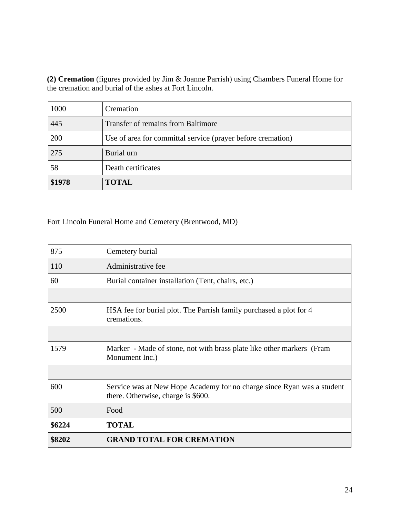**(2) Cremation** (figures provided by Jim & Joanne Parrish) using Chambers Funeral Home for the cremation and burial of the ashes at Fort Lincoln.

| \$1978 | <b>TOTAL</b>                                                |
|--------|-------------------------------------------------------------|
| 58     | Death certificates                                          |
| 275    | Burial urn                                                  |
| 200    | Use of area for committal service (prayer before cremation) |
| 445    | Transfer of remains from Baltimore                          |
| 1000   | Cremation                                                   |

Fort Lincoln Funeral Home and Cemetery (Brentwood, MD)

| \$8202 | <b>GRAND TOTAL FOR CREMATION</b>                                                                             |
|--------|--------------------------------------------------------------------------------------------------------------|
| \$6224 | <b>TOTAL</b>                                                                                                 |
| 500    | Food                                                                                                         |
| 600    | Service was at New Hope Academy for no charge since Ryan was a student<br>there. Otherwise, charge is \$600. |
|        |                                                                                                              |
| 1579   | Marker - Made of stone, not with brass plate like other markers (Fram<br>Monument Inc.)                      |
|        |                                                                                                              |
| 2500   | HSA fee for burial plot. The Parrish family purchased a plot for 4<br>cremations.                            |
|        |                                                                                                              |
| 60     | Burial container installation (Tent, chairs, etc.)                                                           |
| 110    | Administrative fee                                                                                           |
| 875    | Cemetery burial                                                                                              |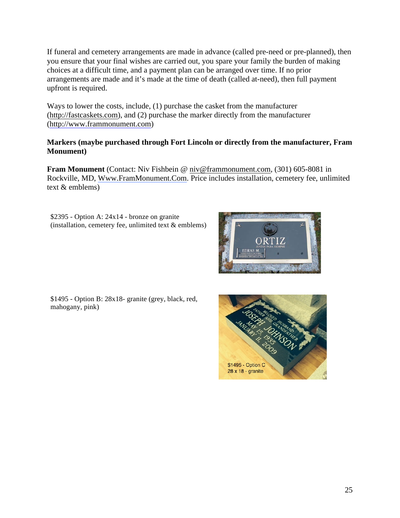If funeral and cemetery arrangements are made in advance (called pre-need or pre-planned), then you ensure that your final wishes are carried out, you spare your family the burden of making choices at a difficult time, and a payment plan can be arranged over time. If no prior arrangements are made and it's made at the time of death (called at-need), then full payment upfront is required.

Ways to lower the costs, include, (1) purchase the casket from the manufacturer (http://fastcaskets.com), and (2) purchase the marker directly from the manufacturer (http://www.frammonument.com)

## **Markers (maybe purchased through Fort Lincoln or directly from the manufacturer, Fram Monument)**

**Fram Monument** (Contact: Niv Fishbein @ niv@frammonument.com, (301) 605-8081 in Rockville, MD, Www.FramMonument.Com. Price includes installation, cemetery fee, unlimited text & emblems)

\$2395 - Option A: 24x14 - bronze on granite (installation, cemetery fee, unlimited text  $&$  emblems)



\$1495 - Option B: 28x18- granite (grey, black, red, mahogany, pink)

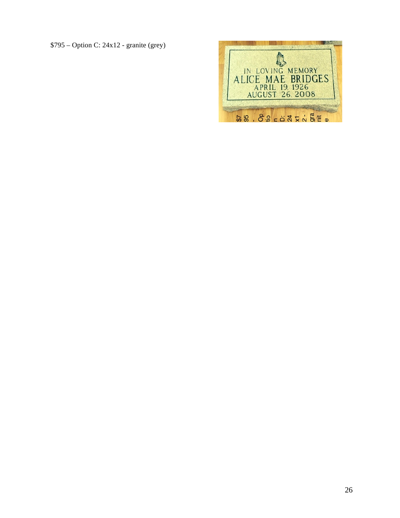\$795 – Option C: 24x12 - granite (grey)